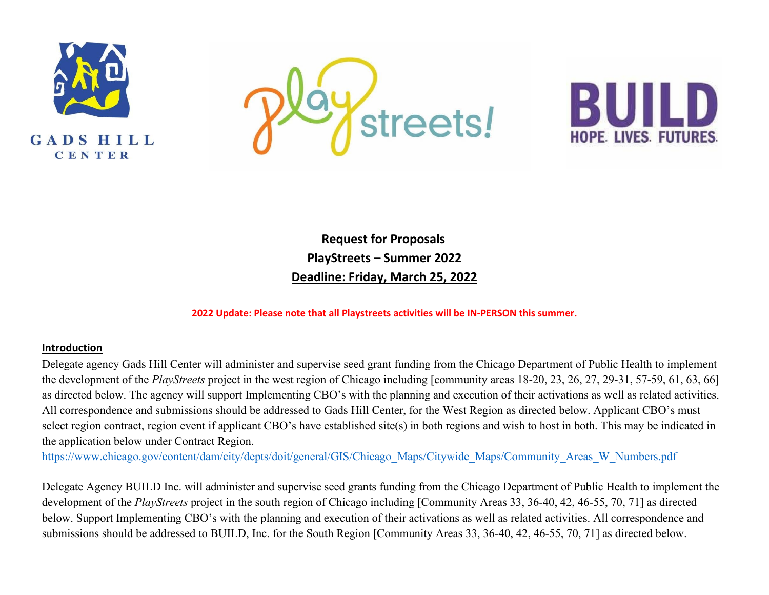





**Request for Proposals PlayStreets – Summer 2022 Deadline: Friday, March 25, 2022** 

**2022 Update: Please note that all Playstreets activities will be IN-PERSON this summer.**

#### **Introduction**

Delegate agency Gads Hill Center will administer and supervise seed grant funding from the Chicago Department of Public Health to implement the development of the *PlayStreets* project in the west region of Chicago including [community areas 18-20, 23, 26, 27, 29-31, 57-59, 61, 63, 66] as directed below. The agency will support Implementing CBO's with the planning and execution of their activations as well as related activities. All correspondence and submissions should be addressed to Gads Hill Center, for the West Region as directed below. Applicant CBO's must select region contract, region event if applicant CBO's have established site(s) in both regions and wish to host in both. This may be indicated in the application below under Contract Region.

[https://www.chicago.gov/content/dam/city/depts/doit/general/GIS/Chicago\\_Maps/Citywide\\_Maps/Community\\_Areas\\_W\\_Numbers.pdf](https://www.chicago.gov/content/dam/city/depts/doit/general/GIS/Chicago_Maps/Citywide_Maps/Community_Areas_W_Numbers.pdf)

Delegate Agency BUILD Inc. will administer and supervise seed grants funding from the Chicago Department of Public Health to implement the development of the *PlayStreets* project in the south region of Chicago including [Community Areas 33, 36-40, 42, 46-55, 70, 71] as directed below. Support Implementing CBO's with the planning and execution of their activations as well as related activities. All correspondence and submissions should be addressed to BUILD, Inc. for the South Region [Community Areas 33, 36-40, 42, 46-55, 70, 71] as directed below.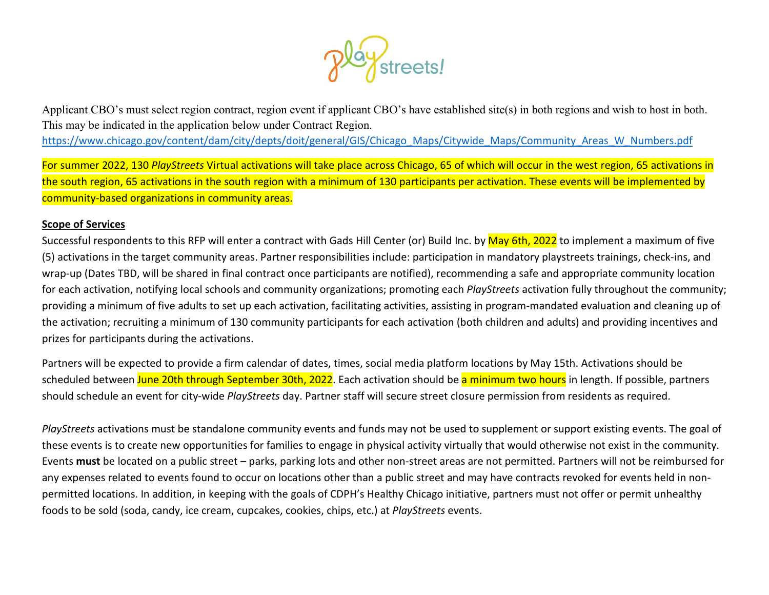

Applicant CBO's must select region contract, region event if applicant CBO's have established site(s) in both regions and wish to host in both. This may be indicated in the application below under Contract Region. [https://www.chicago.gov/content/dam/city/depts/doit/general/GIS/Chicago\\_Maps/Citywide\\_Maps/Community\\_Areas\\_W\\_Numbers.pdf](https://www.chicago.gov/content/dam/city/depts/doit/general/GIS/Chicago_Maps/Citywide_Maps/Community_Areas_W_Numbers.pdf)

For summer 2022, 130 *PlayStreets* Virtual activations will take place across Chicago, 65 of which will occur in the west region, 65 activations in the south region, 65 activations in the south region with a minimum of 130 participants per activation. These events will be implemented by community-based organizations in community areas.

#### **Scope of Services**

Successful respondents to this RFP will enter a contract with Gads Hill Center (or) Build Inc. by May 6th, 2022 to implement a maximum of five (5) activations in the target community areas. Partner responsibilities include: participation in mandatory playstreets trainings, check-ins, and wrap-up (Dates TBD, will be shared in final contract once participants are notified), recommending a safe and appropriate community location for each activation, notifying local schools and community organizations; promoting each *PlayStreets* activation fully throughout the community; providing a minimum of five adults to set up each activation, facilitating activities, assisting in program-mandated evaluation and cleaning up of the activation; recruiting a minimum of 130 community participants for each activation (both children and adults) and providing incentives and prizes for participants during the activations.

Partners will be expected to provide a firm calendar of dates, times, social media platform locations by May 15th. Activations should be scheduled between June 20th through September 30th, 2022. Each activation should be a minimum two hours in length. If possible, partners should schedule an event for city-wide *PlayStreets* day. Partner staff will secure street closure permission from residents as required.

*PlayStreets* activations must be standalone community events and funds may not be used to supplement or support existing events. The goal of these events is to create new opportunities for families to engage in physical activity virtually that would otherwise not exist in the community. Events **must** be located on a public street – parks, parking lots and other non-street areas are not permitted. Partners will not be reimbursed for any expenses related to events found to occur on locations other than a public street and may have contracts revoked for events held in nonpermitted locations. In addition, in keeping with the goals of CDPH's Healthy Chicago initiative, partners must not offer or permit unhealthy foods to be sold (soda, candy, ice cream, cupcakes, cookies, chips, etc.) at *PlayStreets* events.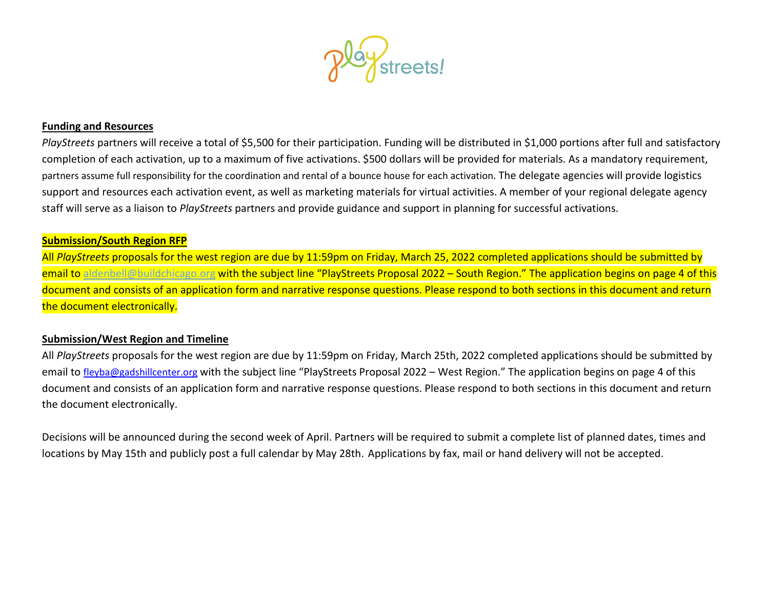

#### **Funding and Resources**

*PlayStreets* partners will receive a total of \$5,500 for their participation. Funding will be distributed in \$1,000 portions after full and satisfactory completion of each activation, up to a maximum of five activations. \$500 dollars will be provided for materials. As a mandatory requirement, partners assume full responsibility for the coordination and rental of a bounce house for each activation. The delegate agencies will provide logistics support and resources each activation event, as well as marketing materials for virtual activities. A member of your regional delegate agency staff will serve as a liaison to *PlayStreets* partners and provide guidance and support in planning for successful activations.

#### **Submission/South Region RFP**

All *PlayStreets* proposals for the west region are due by 11:59pm on Friday, March 25, 2022 completed applications should be submitted by email to aldenbell@buildchicago.org with the subject line "PlayStreets Proposal 2022 – South Region." The application begins on page 4 of this document and consists of an application form and narrative response questions. Please respond to both sections in this document and return the document electronically.

#### **Submission/West Region and Timeline**

All *PlayStreets* proposals for the west region are due by 11:59pm on Friday, March 25th, 2022 completed applications should be submitted by email to [fleyba@gadshillcenter.org](mailto:fleyba@gadshillcenter.org) with the subject line "PlayStreets Proposal 2022 – West Region." The application begins on page 4 of this document and consists of an application form and narrative response questions. Please respond to both sections in this document and return the document electronically.

Decisions will be announced during the second week of April. Partners will be required to submit a complete list of planned dates, times and locations by May 15th and publicly post a full calendar by May 28th. Applications by fax, mail or hand delivery will not be accepted.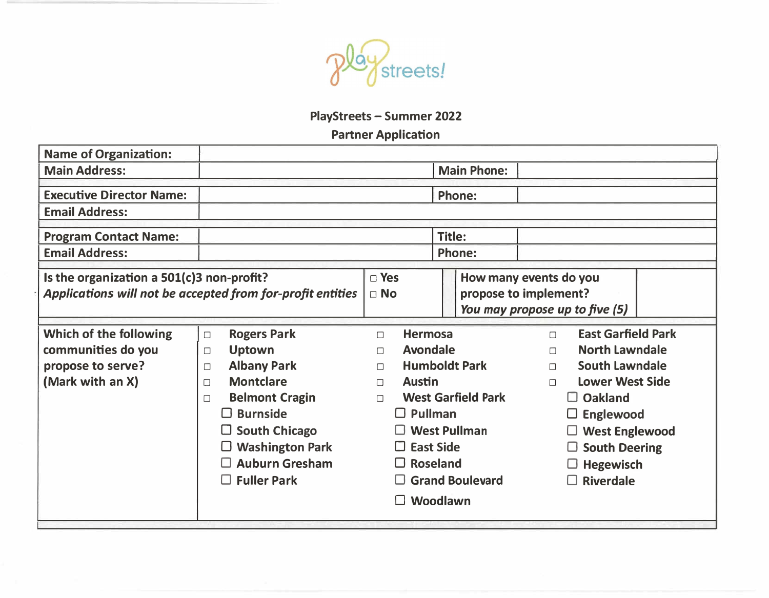

# **PlayStreets - Summer 2022**

## **Partner Application**

| <b>Name of Organization:</b>                                                                            |                                                                                                                                                                                                                                                      |                                                                                                                                                                  |                                                                          |                                                                                                                                                                                                                                                             |
|---------------------------------------------------------------------------------------------------------|------------------------------------------------------------------------------------------------------------------------------------------------------------------------------------------------------------------------------------------------------|------------------------------------------------------------------------------------------------------------------------------------------------------------------|--------------------------------------------------------------------------|-------------------------------------------------------------------------------------------------------------------------------------------------------------------------------------------------------------------------------------------------------------|
| <b>Main Address:</b>                                                                                    |                                                                                                                                                                                                                                                      |                                                                                                                                                                  | <b>Main Phone:</b>                                                       |                                                                                                                                                                                                                                                             |
| <b>Executive Director Name:</b>                                                                         |                                                                                                                                                                                                                                                      | <b>Phone:</b>                                                                                                                                                    |                                                                          |                                                                                                                                                                                                                                                             |
| <b>Email Address:</b>                                                                                   |                                                                                                                                                                                                                                                      |                                                                                                                                                                  |                                                                          |                                                                                                                                                                                                                                                             |
| <b>Program Contact Name:</b>                                                                            |                                                                                                                                                                                                                                                      |                                                                                                                                                                  | <b>Title:</b>                                                            |                                                                                                                                                                                                                                                             |
| <b>Email Address:</b>                                                                                   |                                                                                                                                                                                                                                                      |                                                                                                                                                                  | <b>Phone:</b>                                                            |                                                                                                                                                                                                                                                             |
| Is the organization a 501(c)3 non-profit?<br>Applications will not be accepted from for-profit entities |                                                                                                                                                                                                                                                      | $\Box$ Yes<br>$\Box$ No                                                                                                                                          |                                                                          | How many events do you<br>propose to implement?<br>You may propose up to five (5)                                                                                                                                                                           |
| Which of the following<br>communities do you<br>propose to serve?<br>(Mark with an X)                   | <b>Rogers Park</b><br>$\Box$<br><b>Uptown</b><br>$\Box$<br><b>Albany Park</b><br>$\Box$<br><b>Montclare</b><br>$\Box$<br><b>Belmont Cragin</b><br>$\Box$<br>$\Box$ Burnside<br>$\square$ South Chicago<br>$\Box$ Washington Park<br>□ Auburn Gresham | <b>Hermosa</b><br>$\Box$<br><b>Avondale</b><br>$\Box$<br>$\Box$<br><b>Austin</b><br>$\Box$<br>$\Box$<br>$\Box$ Pullman<br>$\square$ East Side<br>$\Box$ Roseland | <b>Humboldt Park</b><br><b>West Garfield Park</b><br>$\Box$ West Pullman | <b>East Garfield Park</b><br>$\Box$<br><b>North Lawndale</b><br>$\Box$<br><b>South Lawndale</b><br>$\Box$<br><b>Lower West Side</b><br>$\Box$<br>$\Box$ Oakland<br>$\square$ Englewood<br>$\Box$ West Englewood<br>$\Box$ South Deering<br>$\Box$ Hegewisch |
|                                                                                                         | $\Box$ Fuller Park                                                                                                                                                                                                                                   |                                                                                                                                                                  | $\Box$ Grand Boulevard<br>Woodlawn                                       | $\Box$ Riverdale                                                                                                                                                                                                                                            |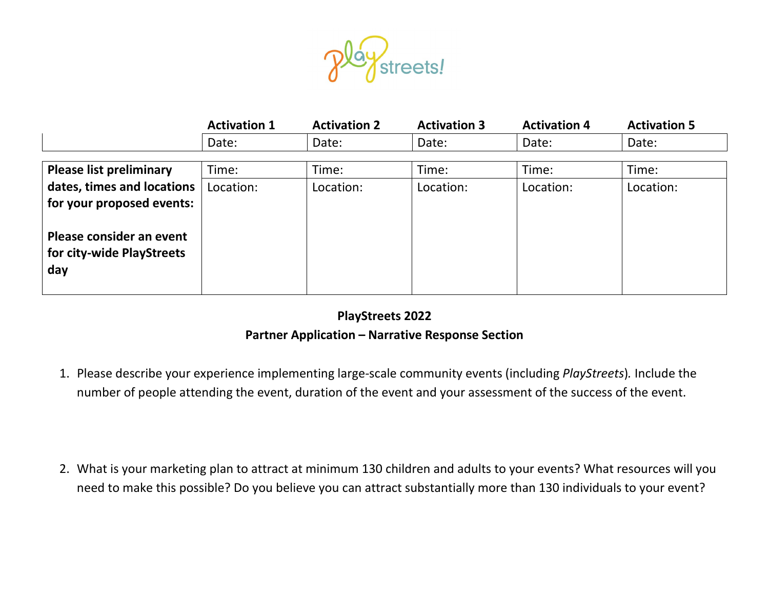

|                                                              | <b>Activation 1</b> | <b>Activation 2</b> | <b>Activation 3</b> | <b>Activation 4</b> | <b>Activation 5</b> |
|--------------------------------------------------------------|---------------------|---------------------|---------------------|---------------------|---------------------|
|                                                              | Date:               | Date:               | Date:               | Date:               | Date:               |
| <b>Please list preliminary</b>                               | Time:               | Time:               | Time:               | Time:               | Time:               |
| dates, times and locations<br>for your proposed events:      | Location:           | Location:           | Location:           | Location:           | Location:           |
| Please consider an event<br>for city-wide PlayStreets<br>day |                     |                     |                     |                     |                     |

### **PlayStreets 2022**

### **Partner Application – Narrative Response Section**

1. Please describe your experience implementing large-scale community events (including *PlayStreets*)*.* Include the number of people attending the event, duration of the event and your assessment of the success of the event.

2. What is your marketing plan to attract at minimum 130 children and adults to your events? What resources will you need to make this possible? Do you believe you can attract substantially more than 130 individuals to your event?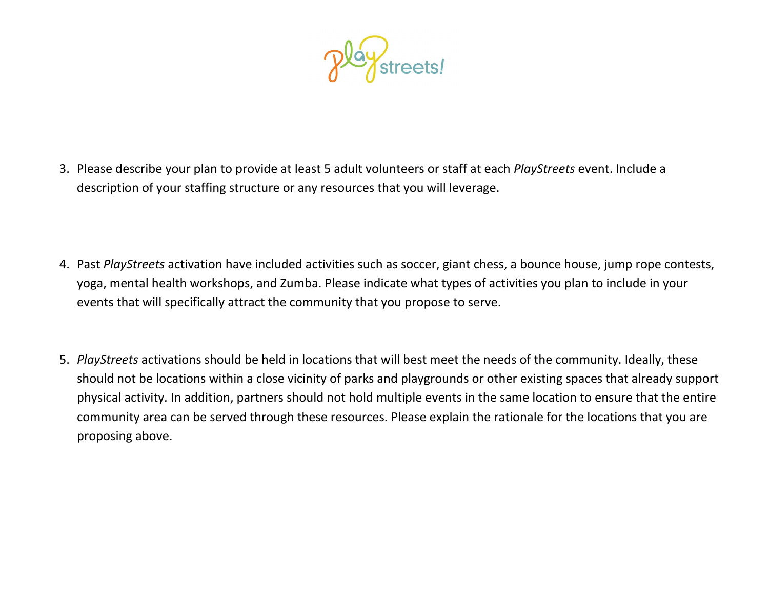

3. Please describe your plan to provide at least 5 adult volunteers or staff at each *PlayStreets* event. Include a description of your staffing structure or any resources that you will leverage.

- 4. Past *PlayStreets* activation have included activities such as soccer, giant chess, a bounce house, jump rope contests, yoga, mental health workshops, and Zumba. Please indicate what types of activities you plan to include in your events that will specifically attract the community that you propose to serve.
- 5. *PlayStreets* activations should be held in locations that will best meet the needs of the community. Ideally, these should not be locations within a close vicinity of parks and playgrounds or other existing spaces that already support physical activity. In addition, partners should not hold multiple events in the same location to ensure that the entire community area can be served through these resources. Please explain the rationale for the locations that you are proposing above.